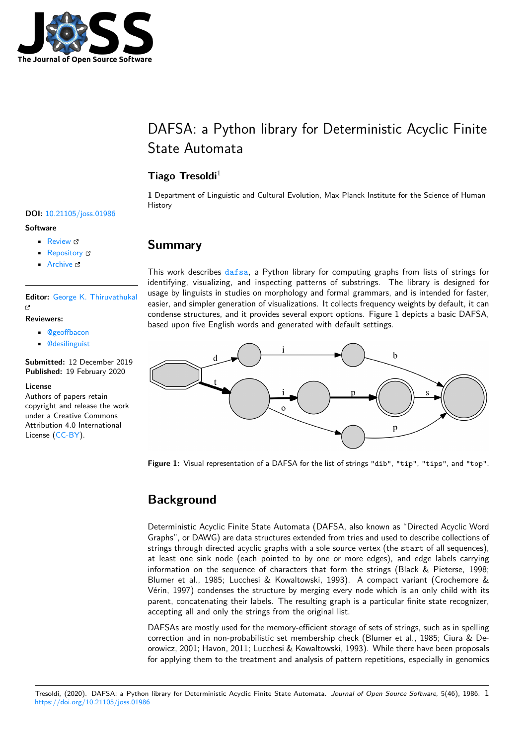

# DAFSA: a Python library for Deterministic Acyclic Finite State Automata

### **Tiago Tresoldi**<sup>1</sup>

**1** Department of Linguistic and Cultural Evolution, Max Planck Institute for the Science of Human History

### **Summary**

This work describes dafsa, a Python library for computing graphs from lists of strings for identifying, visualizing, and inspecting patterns of substrings. The library is designed for usage by linguists in studies on morphology and formal grammars, and is intended for faster, easier, and simpler generation of visualizations. It collects frequency weights by default, it can condense structures, [and it](https://pypi.org/project/dafsa/) provides several export options. Figure 1 depicts a basic DAFSA, based upon five English words and generated with default settings.



**Figure 1:** Visual representation of a DAFSA for the list of strings "dib", "tip", "tips", and "top".

## **Background**

Deterministic Acyclic Finite State Automata (DAFSA, also known as "Directed Acyclic Word Graphs", or DAWG) are data structures extended from tries and used to describe collections of strings through directed acyclic graphs with a sole source vertex (the start of all sequences), at least one sink node (each pointed to by one or more edges), and edge labels carrying information on the sequence of characters that form the strings (Black & Pieterse, 1998; Blumer et al., 1985; Lucchesi & Kowaltowski, 1993). A compact variant (Crochemore & Vérin, 1997) condenses the structure by merging every node which is an only child with its parent, concatenating their labels. The resulting graph is a particular finite state recognizer, accepting all and only the strings from the original list.

DAFSAs are mostly used for the memory-efficient storage of sets of strings, such as in spelling correction and in non-probabilistic set membership check (Blumer et al., 1985; Ciura & Deorowicz, 2001; Havon, 2011; Lucchesi & Kowaltowski, 1993). While there have been proposals for applying them to the treatment and analysis of pattern repetitions, especially in genomics

### **DOI:** 10.21105/joss.01986

#### **Software**

- Review &
- [Repository](https://doi.org/10.21105/joss.01986) &
- Archive

#### **Editor:** [George K](https://github.com/tresoldi/dafsa). Thiruvathukal r4

#### **Reviewers:**

- @geoffbacon
- @[desilinguist](https://luc.edu/cs/people/ftfaculty/gkt.shtml)

#### **Submitted:** 12 December 2019 **Published:** [19 Febr](https://github.com/geoffbacon)uary 2020

#### **Licen[se](https://github.com/desilinguist)**

Authors of papers retain copyright and release the work under a Creative Commons Attribution 4.0 International License (CC-BY).

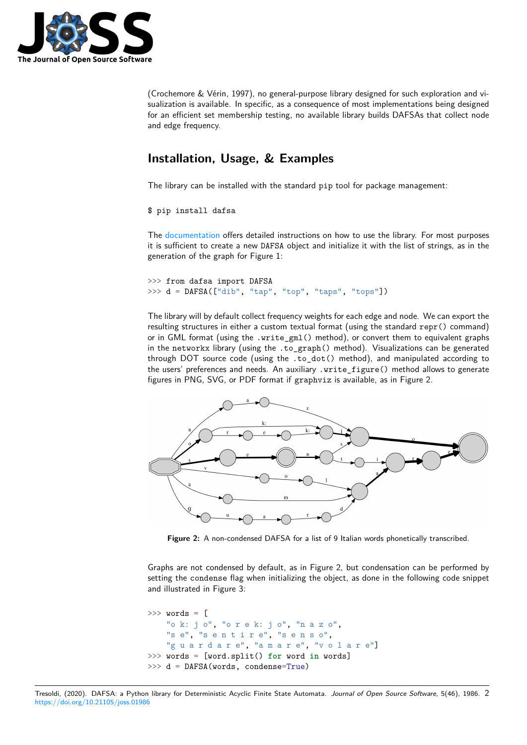

(Crochemore & Vérin, 1997), no general-purpose library designed for such exploration and visualization is available. In specific, as a consequence of most implementations being designed for an efficient set membership testing, no available library builds DAFSAs that collect node and edge frequency.

### **Installation, Usage, & Examples**

The library can be installed with the standard pip tool for package management:

\$ pip install dafsa

The documentation offers detailed instructions on how to use the library. For most purposes it is sufficient to create a new DAFSA object and initialize it with the list of strings, as in the generation of the graph for Figure 1:

```
>>> from dafsa import DAFSA
>>> d = DAFSA(["dib", "tap", "top", "taps", "tops"])
```
The library will by default collect frequency weights for each edge and node. We can export the resulting structures in either a custom textual format (using the standard repr() command) or in GML format (using the .write\_gml() method), or convert them to equivalent graphs in the networkx library (using the .to\_graph() method). Visualizations can be generated through DOT source code (using the .to\_dot() method), and manipulated according to the users' preferences and needs. An auxiliary .write\_figure() method allows to generate figures in PNG, SVG, or PDF format if graphviz is available, as in Figure 2.



**Figure 2:** A non-condensed DAFSA for a list of 9 Italian words phonetically transcribed.

Graphs are not condensed by default, as in Figure 2, but condensation can be performed by setting the condense flag when initializing the object, as done in the following code snippet and illustrated in Figure 3:

```
>>> words = [
   "o k: j o", "o r e k: j o", "n a z o",
   "s e", "s e n t i r e", "s e n s o",
   "guardare", "amare", "volare"]
>>> words = [word.split() for word in words]
>>> d = DAFSA(words, condense=True)
```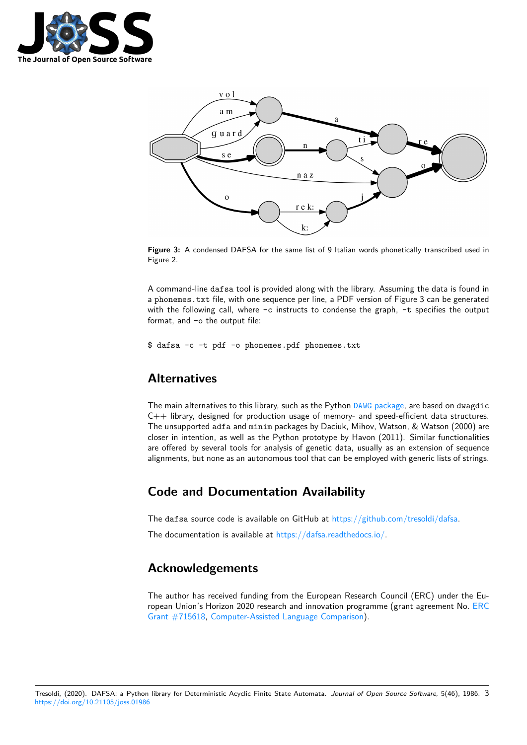



**Figure 3:** A condensed DAFSA for the same list of 9 Italian words phonetically transcribed used in Figure 2.

A command-line dafsa tool is provided along with the library. Assuming the data is found in a phonemes.txt file, with one sequence per line, a PDF version of Figure 3 can be generated with the following call, where  $-c$  instructs to condense the graph,  $-t$  specifies the output format, and -o the output file:

\$ dafsa -c -t pdf -o phonemes.pdf phonemes.txt

### **Alternatives**

The main alternatives to this library, such as the Python DAWG package, are based on dwagdic C++ library, designed for production usage of memory- and speed-efficient data structures. The unsupported adfa and minim packages by Daciuk, Mihov, Watson, & Watson (2000) are closer in intention, as well as the Python prototype by Havon (2011). Similar functionalities are offered by several tools for analysis of genetic data[, usually as an](https://github.com/pytries/DAWG) extension of sequence alignments, but none as an autonomous tool that can be employed with generic lists of strings.

### **Code and Documentation Availability**

The dafsa source code is available on GitHub at https://github.com/tresoldi/dafsa.

The documentation is available at https://dafsa.readthedocs.io/.

### **Acknowledgements**

The author has received funding from the European Research Council (ERC) under the European Union's Horizon 2020 research and innovation programme (grant agreement No. ERC Grant #715618, Computer-Assisted Language Comparison).